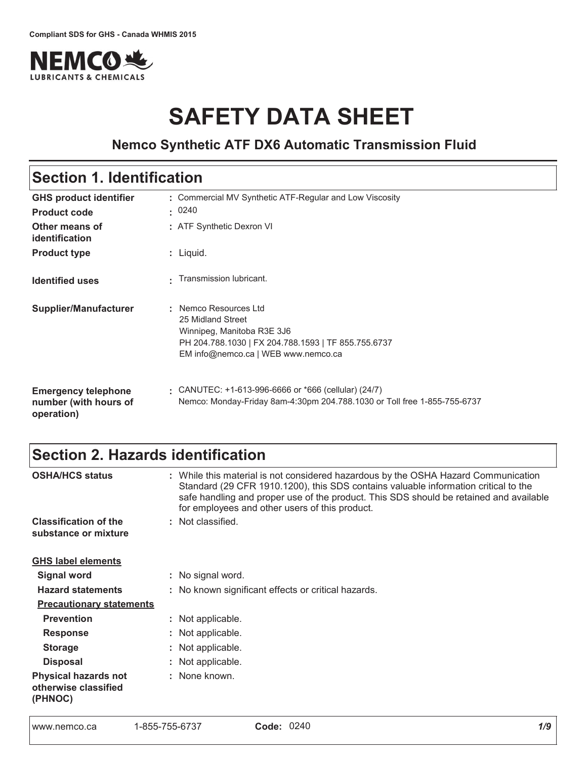

# **SAFETY DATA SHEET**

# **Nemco Synthetic ATF DX6 Automatic Transmission Fluid**

# Section 1. Identification

| <b>GHS product identifier</b><br><b>Product code</b>              | : Commercial MV Synthetic ATF-Regular and Low Viscosity<br>: 0240                                                                                                      |
|-------------------------------------------------------------------|------------------------------------------------------------------------------------------------------------------------------------------------------------------------|
| Other means of<br>identification                                  | : ATF Synthetic Dexron VI                                                                                                                                              |
| <b>Product type</b>                                               | : Liquid.                                                                                                                                                              |
| <b>Identified uses</b>                                            | Transmission lubricant.                                                                                                                                                |
| <b>Supplier/Manufacturer</b>                                      | : Nemco Resources Ltd<br>25 Midland Street<br>Winnipeg, Manitoba R3E 3J6<br>PH 204.788.1030   FX 204.788.1593   TF 855.755.6737<br>EM info@nemco.ca   WEB www.nemco.ca |
| <b>Emergency telephone</b><br>number (with hours of<br>operation) | CANUTEC: $+1-613-996-6666$ or $*666$ (cellular) (24/7)<br>Nemco: Monday-Friday 8am-4:30pm 204.788.1030 or Toll free 1-855-755-6737                                     |

# Section 2. Hazards identification

| <b>OSHA/HCS status</b>                                         | : While this material is not considered hazardous by the OSHA Hazard Communication<br>Standard (29 CFR 1910.1200), this SDS contains valuable information critical to the<br>safe handling and proper use of the product. This SDS should be retained and available<br>for employees and other users of this product. |
|----------------------------------------------------------------|-----------------------------------------------------------------------------------------------------------------------------------------------------------------------------------------------------------------------------------------------------------------------------------------------------------------------|
| <b>Classification of the</b>                                   | : Not classified.                                                                                                                                                                                                                                                                                                     |
| substance or mixture                                           |                                                                                                                                                                                                                                                                                                                       |
| <b>GHS label elements</b>                                      |                                                                                                                                                                                                                                                                                                                       |
| <b>Signal word</b>                                             | : No signal word.                                                                                                                                                                                                                                                                                                     |
| <b>Hazard statements</b>                                       | : No known significant effects or critical hazards.                                                                                                                                                                                                                                                                   |
| <b>Precautionary statements</b>                                |                                                                                                                                                                                                                                                                                                                       |
| <b>Prevention</b>                                              | : Not applicable.                                                                                                                                                                                                                                                                                                     |
| <b>Response</b>                                                | : Not applicable.                                                                                                                                                                                                                                                                                                     |
| <b>Storage</b>                                                 | : Not applicable.                                                                                                                                                                                                                                                                                                     |
| <b>Disposal</b>                                                | : Not applicable.                                                                                                                                                                                                                                                                                                     |
| <b>Physical hazards not</b><br>otherwise classified<br>(PHNOC) | : None known.                                                                                                                                                                                                                                                                                                         |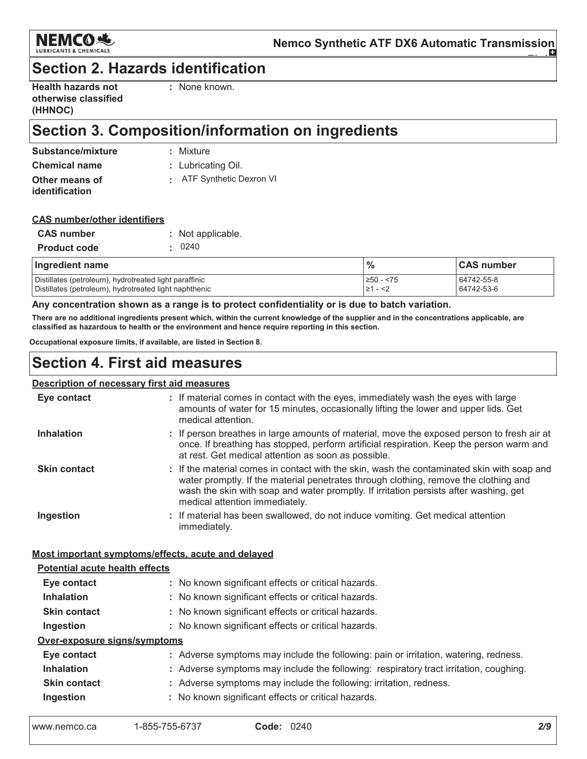

# **Section 2. Hazards identification**

| <b>Health hazards not</b> |
|---------------------------|
| otherwise classified      |
| (HHNOC)                   |

: None known.

# Section 3. Composition/information on ingredients

| Substance/mixture    | : Mixture                 |
|----------------------|---------------------------|
| <b>Chemical name</b> | : Lubricating Oil.        |
| Other means of       | : ATF Synthetic Dexron VI |
| identification       |                           |

### **CAS number/other identifiers**

| <b>CAS number</b>   | : Not applicable. |
|---------------------|-------------------|
| <b>Product code</b> | : 0240            |

| Ingredient name                                        | $\frac{0}{0}$ | <b>CAS number</b> |
|--------------------------------------------------------|---------------|-------------------|
| Distillates (petroleum), hydrotreated light paraffinic | ≥50 - <75     | 64742-55-8        |
| Distillates (petroleum), hydrotreated light naphthenic | l≥1 - <2      | 64742-53-6        |

Any concentration shown as a range is to protect confidentiality or is due to batch variation.

There are no additional ingredients present which, within the current knowledge of the supplier and in the concentrations applicable, are classified as hazardous to health or the environment and hence require reporting in this section.

Occupational exposure limits, if available, are listed in Section 8.

## **Section 4. First aid measures**

### **Description of necessary first aid measures**

| Eye contact                                        | : If material comes in contact with the eyes, immediately wash the eyes with large<br>amounts of water for 15 minutes, occasionally lifting the lower and upper lids. Get<br>medical attention.                                                                                                               |
|----------------------------------------------------|---------------------------------------------------------------------------------------------------------------------------------------------------------------------------------------------------------------------------------------------------------------------------------------------------------------|
| <b>Inhalation</b>                                  | : If person breathes in large amounts of material, move the exposed person to fresh air at<br>once. If breathing has stopped, perform artificial respiration. Keep the person warm and<br>at rest. Get medical attention as soon as possible.                                                                 |
| <b>Skin contact</b>                                | : If the material comes in contact with the skin, wash the contaminated skin with soap and<br>water promptly. If the material penetrates through clothing, remove the clothing and<br>wash the skin with soap and water promptly. If irritation persists after washing, get<br>medical attention immediately. |
| Ingestion                                          | : If material has been swallowed, do not induce vomiting. Get medical attention<br>immediately.                                                                                                                                                                                                               |
| Most important symptoms/effects, acute and delayed |                                                                                                                                                                                                                                                                                                               |
| Potential acute health effects                     |                                                                                                                                                                                                                                                                                                               |
| Eye contact                                        | : No known significant effects or critical hazards.                                                                                                                                                                                                                                                           |
| <b>Inhalation</b>                                  | : No known significant effects or critical hazards.                                                                                                                                                                                                                                                           |
| <b>Skin contact</b>                                | : No known significant effects or critical hazards.                                                                                                                                                                                                                                                           |
| Ingestion                                          | : No known significant effects or critical hazards.                                                                                                                                                                                                                                                           |
| Over-exposure signs/symptoms                       |                                                                                                                                                                                                                                                                                                               |
| Eye contact                                        | : Adverse symptoms may include the following: pain or irritation, watering, redness.                                                                                                                                                                                                                          |
| <b>Inhalation</b>                                  | : Adverse symptoms may include the following: respiratory tract irritation, coughing.                                                                                                                                                                                                                         |
| <b>Skin contact</b>                                | : Adverse symptoms may include the following: irritation, redness.                                                                                                                                                                                                                                            |
| Ingestion                                          | : No known significant effects or critical hazards.                                                                                                                                                                                                                                                           |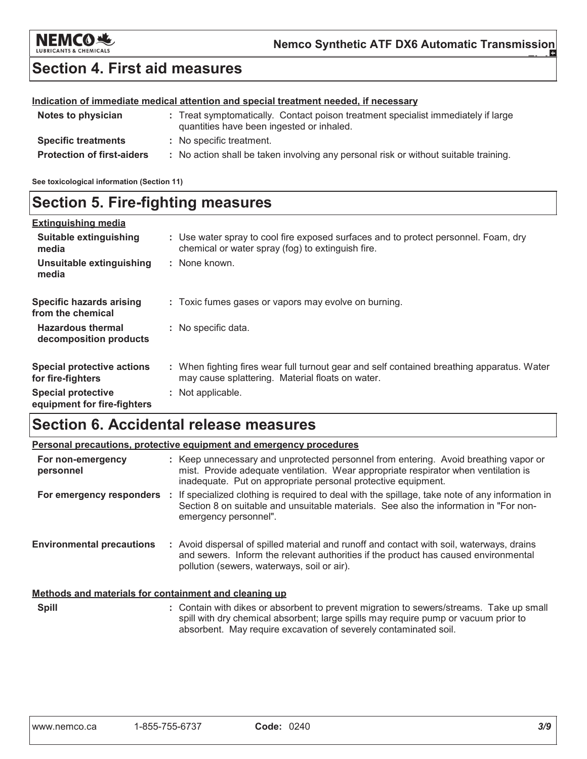

# **Section 4. First aid measures**

### Indication of immediate medical attention and special treatment needed, if necessary

| Notes to physician                | : Treat symptomatically. Contact poison treatment specialist immediately if large<br>quantities have been ingested or inhaled. |
|-----------------------------------|--------------------------------------------------------------------------------------------------------------------------------|
| <b>Specific treatments</b>        | : No specific treatment.                                                                                                       |
| <b>Protection of first-aiders</b> | : No action shall be taken involving any personal risk or without suitable training.                                           |

See toxicological information (Section 11)

# **Section 5. Fire-fighting measures**

| <b>Extinguishing media</b>                               |                                                                                                                                                |
|----------------------------------------------------------|------------------------------------------------------------------------------------------------------------------------------------------------|
| Suitable extinguishing<br>media                          | : Use water spray to cool fire exposed surfaces and to protect personnel. Foam, dry<br>chemical or water spray (fog) to extinguish fire.       |
| Unsuitable extinguishing<br>media                        | : None known.                                                                                                                                  |
| <b>Specific hazards arising</b><br>from the chemical     | : Toxic fumes gases or vapors may evolve on burning.                                                                                           |
| <b>Hazardous thermal</b><br>decomposition products       | : No specific data.                                                                                                                            |
| <b>Special protective actions</b><br>for fire-fighters   | : When fighting fires wear full turnout gear and self contained breathing apparatus. Water<br>may cause splattering. Material floats on water. |
| <b>Special protective</b><br>equipment for fire-fighters | : Not applicable.                                                                                                                              |

# **Section 6. Accidental release measures**

| Personal precautions, protective equipment and emergency procedures |  |                                                                                                                                                                                                                                              |  |  |  |  |  |
|---------------------------------------------------------------------|--|----------------------------------------------------------------------------------------------------------------------------------------------------------------------------------------------------------------------------------------------|--|--|--|--|--|
| For non-emergency<br>personnel                                      |  | : Keep unnecessary and unprotected personnel from entering. Avoid breathing vapor or<br>mist. Provide adequate ventilation. Wear appropriate respirator when ventilation is<br>inadequate. Put on appropriate personal protective equipment. |  |  |  |  |  |
| For emergency responders                                            |  | If specialized clothing is required to deal with the spillage, take note of any information in<br>Section 8 on suitable and unsuitable materials. See also the information in "For non-<br>emergency personnel".                             |  |  |  |  |  |
| <b>Environmental precautions</b>                                    |  | : Avoid dispersal of spilled material and runoff and contact with soil, waterways, drains<br>and sewers. Inform the relevant authorities if the product has caused environmental<br>pollution (sewers, waterways, soil or air).              |  |  |  |  |  |
| Methods and materials for containment and cleaning up               |  |                                                                                                                                                                                                                                              |  |  |  |  |  |
| <b>Spill</b>                                                        |  | : Contain with dikes or absorbent to prevent migration to sewers/streams. Take up small<br>spill with dry chemical absorbent; large spills may require pump or vacuum prior to                                                               |  |  |  |  |  |

absorbent. May require excavation of severely contaminated soil.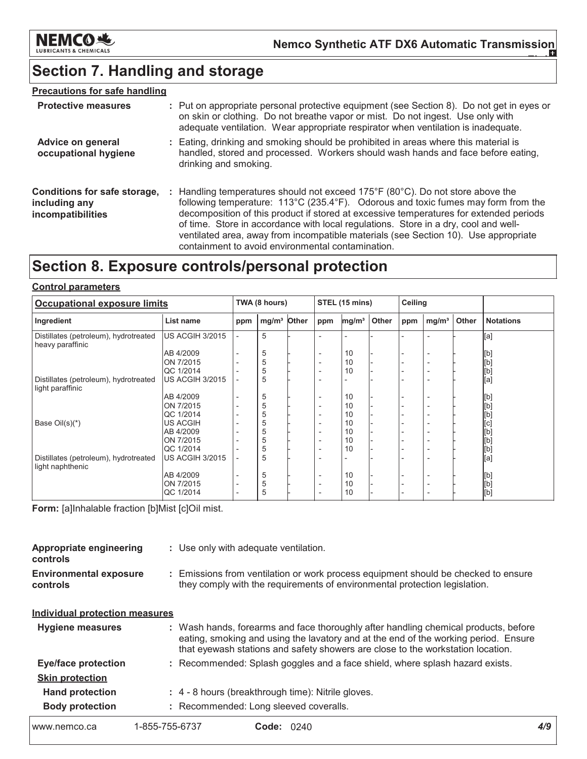

# Section 7. Handling and storage

### **Precautions for safe handling**

| <b>Protective measures</b>                                         | : Put on appropriate personal protective equipment (see Section 8). Do not get in eyes or<br>on skin or clothing. Do not breathe vapor or mist. Do not ingest. Use only with<br>adequate ventilation. Wear appropriate respirator when ventilation is inadequate.                                                                                                                                                                                                                                |
|--------------------------------------------------------------------|--------------------------------------------------------------------------------------------------------------------------------------------------------------------------------------------------------------------------------------------------------------------------------------------------------------------------------------------------------------------------------------------------------------------------------------------------------------------------------------------------|
| <b>Advice on general</b><br>occupational hygiene                   | : Eating, drinking and smoking should be prohibited in areas where this material is<br>handled, stored and processed. Workers should wash hands and face before eating,<br>drinking and smoking.                                                                                                                                                                                                                                                                                                 |
| Conditions for safe storage,<br>including any<br>incompatibilities | : Handling temperatures should not exceed 175°F (80°C). Do not store above the<br>following temperature: 113°C (235.4°F). Odorous and toxic fumes may form from the<br>decomposition of this product if stored at excessive temperatures for extended periods<br>of time. Store in accordance with local regulations. Store in a dry, cool and well-<br>ventilated area, away from incompatible materials (see Section 10). Use appropriate<br>containment to avoid environmental contamination. |

# Section 8. Exposure controls/personal protection

### **Control parameters**

| <b>Occupational exposure limits</b>                       |                        |                          | TWA (8 hours)     |       |                          | STEL (15 mins)    |       |     | <b>Ceiling</b>           |       |                                             |
|-----------------------------------------------------------|------------------------|--------------------------|-------------------|-------|--------------------------|-------------------|-------|-----|--------------------------|-------|---------------------------------------------|
| Ingredient                                                | List name              | ppm                      | mg/m <sup>3</sup> | Other | ppm                      | mg/m <sup>3</sup> | Other | ppm | mg/m <sup>3</sup>        | Other | <b>Notations</b>                            |
| Distillates (petroleum), hydrotreated<br>heavy paraffinic | <b>US ACGIH 3/2015</b> |                          | 5                 |       |                          |                   |       |     | $\overline{\phantom{a}}$ |       | [a]                                         |
|                                                           | AB 4/2009              |                          | 5                 |       | $\overline{\phantom{0}}$ | 10                |       |     | <u>_</u>                 |       |                                             |
|                                                           | ON 7/2015              |                          | 5                 |       |                          | 10                |       |     |                          |       |                                             |
|                                                           | QC 1/2014              |                          | 5                 |       | $\overline{\phantom{0}}$ | 10                |       |     | $\overline{\phantom{a}}$ |       | [b]<br>[b]<br>[b]                           |
| Distillates (petroleum), hydrotreated<br>light paraffinic | US ACGIH 3/2015        |                          | 5                 |       | $\overline{\phantom{a}}$ |                   |       |     | ٠                        |       | [a]                                         |
|                                                           | AB 4/2009              | $\overline{\phantom{0}}$ | 5                 |       | $\overline{\phantom{a}}$ | 10                |       |     | $\overline{\phantom{a}}$ |       |                                             |
|                                                           | ON 7/2015              |                          | 5                 |       | $\overline{\phantom{0}}$ | 10                |       |     | ٠                        |       | [b]<br>[b]                                  |
|                                                           | QC 1/2014              |                          | 5                 |       | $\overline{\phantom{a}}$ | 10                |       |     | <u>_</u>                 |       | [b]                                         |
| Base $Oil(s)(*)$                                          | <b>US ACGIH</b>        |                          | 5                 |       | $\overline{\phantom{a}}$ | 10                |       |     | $\overline{\phantom{a}}$ |       | $\begin{bmatrix} 1 \\ 0 \\ 0 \end{bmatrix}$ |
|                                                           | AB 4/2009              |                          | 5                 |       | $\overline{\phantom{0}}$ | 10                |       |     | $\overline{\phantom{a}}$ |       |                                             |
|                                                           | ON 7/2015              |                          | 5                 |       | $\overline{\phantom{0}}$ | 10                |       |     | $\overline{\phantom{a}}$ |       |                                             |
|                                                           | QC 1/2014              |                          | 5                 |       |                          | 10                |       |     | $\overline{\phantom{a}}$ |       |                                             |
| Distillates (petroleum), hydrotreated<br>light naphthenic | US ACGIH 3/2015        |                          | 5                 |       |                          |                   |       |     |                          |       | ibj<br>[a]                                  |
|                                                           | AB 4/2009              |                          | 5                 |       | $\overline{\phantom{0}}$ | 10                |       |     | <u>_</u>                 |       | [b]                                         |
|                                                           | ON 7/2015              |                          | 5                 |       |                          | 10                |       |     | $\overline{\phantom{a}}$ |       | [b]                                         |
|                                                           | QC 1/2014              | $\overline{\phantom{0}}$ | 5                 |       |                          | 10                |       |     | $\overline{\phantom{0}}$ |       | [b]                                         |

Form: [a]Inhalable fraction [b]Mist [c]Oil mist.

| <b>Appropriate engineering</b><br>controls | : Use only with adequate ventilation.                                                                                                                          |
|--------------------------------------------|----------------------------------------------------------------------------------------------------------------------------------------------------------------|
| <b>Environmental exposure</b><br>controls  | Emissions from ventilation or work process equipment should be checked to ensure<br>they comply with the requirements of environmental protection legislation. |

### **Individual protection measures**

| <b>Hygiene measures</b>    |                | : Wash hands, forearms and face thoroughly after handling chemical products, before<br>eating, smoking and using the lavatory and at the end of the working period. Ensure<br>that eyewash stations and safety showers are close to the workstation location. |  |
|----------------------------|----------------|---------------------------------------------------------------------------------------------------------------------------------------------------------------------------------------------------------------------------------------------------------------|--|
| <b>Eye/face protection</b> |                | : Recommended: Splash goggles and a face shield, where splash hazard exists.                                                                                                                                                                                  |  |
| <b>Skin protection</b>     |                |                                                                                                                                                                                                                                                               |  |
| <b>Hand protection</b>     |                | : 4 - 8 hours (breakthrough time): Nitrile gloves.                                                                                                                                                                                                            |  |
| <b>Body protection</b>     |                | : Recommended: Long sleeved coveralls.                                                                                                                                                                                                                        |  |
| www.nemco.ca               | 1-855-755-6737 | <b>Code: 0240</b>                                                                                                                                                                                                                                             |  |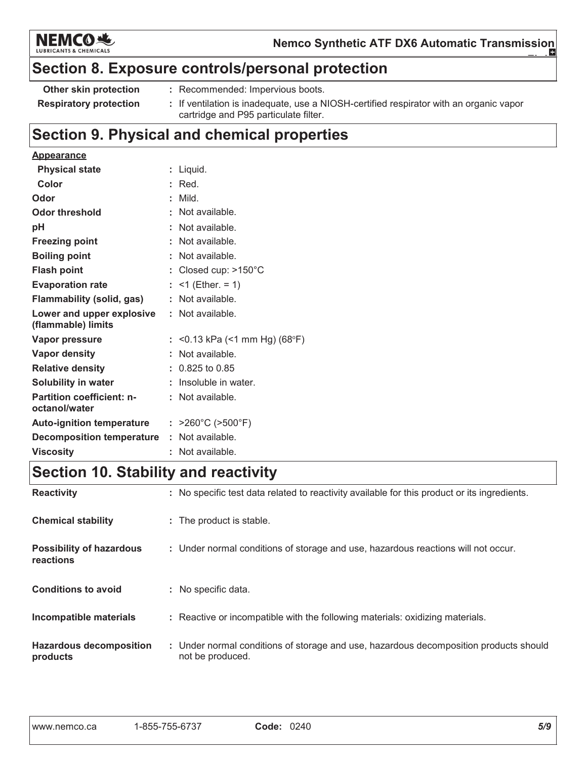

# Section 8. Exposure controls/personal protection

| Other skin protection         | : Recommended: Impervious boots.                                                       |
|-------------------------------|----------------------------------------------------------------------------------------|
| <b>Respiratory protection</b> | : If ventilation is inadequate, use a NIOSH-certified respirator with an organic vapor |
|                               | cartridge and P95 particulate filter.                                                  |

# Section 9. Physical and chemical properties

| <b>Appearance</b>                                 |    |                                        |
|---------------------------------------------------|----|----------------------------------------|
| <b>Physical state</b>                             | t. | Liquid.                                |
| Color                                             |    | Red.                                   |
| Odor                                              | ÷. | Mild.                                  |
| <b>Odor threshold</b>                             |    | Not available.                         |
| рH                                                |    | Not available.                         |
| <b>Freezing point</b>                             |    | Not available.                         |
| <b>Boiling point</b>                              |    | Not available.                         |
| <b>Flash point</b>                                |    | Closed cup: $>150^{\circ}$ C           |
| <b>Evaporation rate</b>                           | ÷. | $<$ 1 (Ether. = 1)                     |
| <b>Flammability (solid, gas)</b>                  | ÷. | Not available.                         |
| Lower and upper explosive<br>(flammable) limits   | ÷. | Not available.                         |
| <b>Vapor pressure</b>                             |    | <0.13 kPa (<1 mm Hg) (68°F)            |
| <b>Vapor density</b>                              |    | Not available.                         |
| <b>Relative density</b>                           |    | $: 0.825$ to 0.85                      |
| <b>Solubility in water</b>                        |    | Insoluble in water.                    |
| <b>Partition coefficient: n-</b><br>octanol/water |    | : Not available.                       |
| <b>Auto-ignition temperature</b>                  |    | : $>260^{\circ}$ C ( $>500^{\circ}$ F) |
| <b>Decomposition temperature</b>                  |    | : Not available.                       |
| <b>Viscosity</b>                                  |    | Not available                          |

# **Section 10. Stability and reactivity**

| <b>Reactivity</b>                            | : No specific test data related to reactivity available for this product or its ingredients.              |
|----------------------------------------------|-----------------------------------------------------------------------------------------------------------|
| <b>Chemical stability</b>                    | : The product is stable.                                                                                  |
| <b>Possibility of hazardous</b><br>reactions | : Under normal conditions of storage and use, hazardous reactions will not occur.                         |
| <b>Conditions to avoid</b>                   | : No specific data.                                                                                       |
| Incompatible materials                       | : Reactive or incompatible with the following materials: oxidizing materials.                             |
| <b>Hazardous decomposition</b><br>products   | : Under normal conditions of storage and use, hazardous decomposition products should<br>not be produced. |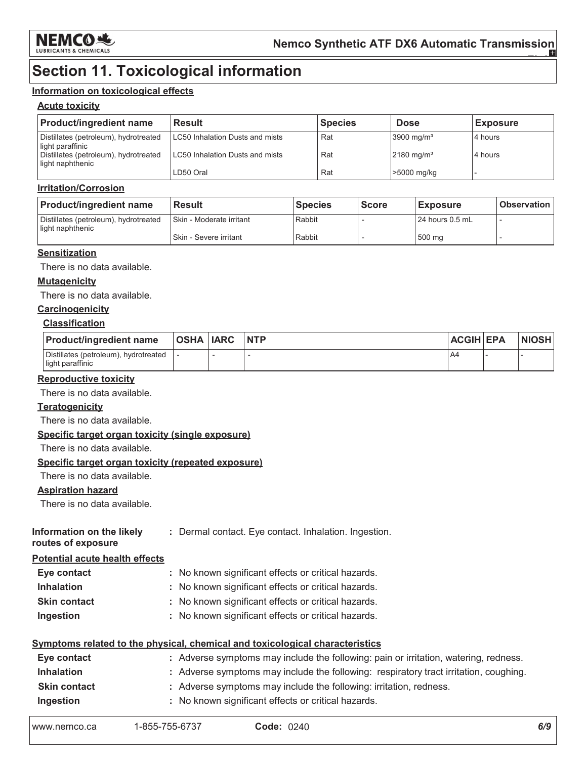

# **Section 11. Toxicological information**

### Information on toxicological effects

### **Acute toxicity**

| <b>Product/ingredient name</b>                            | <b>Result</b>                   | <b>Species</b> | <b>Dose</b>              | <b>Exposure</b> |
|-----------------------------------------------------------|---------------------------------|----------------|--------------------------|-----------------|
| Distillates (petroleum), hydrotreated<br>light paraffinic | LC50 Inhalation Dusts and mists | Rat            | $3900 \text{ mg/m}^3$    | 4 hours         |
| Distillates (petroleum), hydrotreated<br>light naphthenic | LC50 Inhalation Dusts and mists | Rat            | $2180$ mg/m <sup>3</sup> | 4 hours         |
|                                                           | LD50 Oral                       | Rat            | >5000 mg/kg              |                 |

### **Irritation/Corrosion**

| <b>Product/ingredient name</b>                            | <b>Result</b>              | <b>Species</b> | <b>Score</b> | <b>Exposure</b>   | ∣ Observation I |
|-----------------------------------------------------------|----------------------------|----------------|--------------|-------------------|-----------------|
| Distillates (petroleum), hydrotreated<br>light naphthenic | I Skin - Moderate irritant | Rabbit         |              | l 24 hours 0.5 mL |                 |
|                                                           | Skin - Severe irritant     | Rabbit         |              | 500 ma            |                 |

### **Sensitization**

There is no data available.

### **Mutagenicity**

There is no data available.

### Carcinogenicity

### **Classification**

| <b>Product/ingredient name</b>                            | <b>OSHA IARC</b> | <b>NTP</b> | <b>ACGIH EPA</b> | <b>NIOSH</b> |
|-----------------------------------------------------------|------------------|------------|------------------|--------------|
| Distillates (petroleum), hydrotreated<br>light paraffinic |                  |            | A4               |              |

#### **Reproductive toxicity**

There is no data available.

### **Teratogenicity**

There is no data available.

### Specific target organ toxicity (single exposure)

There is no data available.

### Specific target organ toxicity (repeated exposure)

There is no data available.

### **Aspiration hazard**

There is no data available.

| Information on the likely |  |  |  | : Dermal contact. Eye contact. Inhalation. Ingestion |  |
|---------------------------|--|--|--|------------------------------------------------------|--|
|---------------------------|--|--|--|------------------------------------------------------|--|

routes of exposure

### **Potential acute health effects**

| Eye contact         | : No known significant effects or critical hazards. |
|---------------------|-----------------------------------------------------|
| <b>Inhalation</b>   | : No known significant effects or critical hazards. |
| <b>Skin contact</b> | : No known significant effects or critical hazards. |
| Ingestion           | : No known significant effects or critical hazards. |

### Symptoms related to the physical, chemical and toxicological characteristics

| Eye contact         | : Adverse symptoms may include the following: pain or irritation, watering, redness.  |
|---------------------|---------------------------------------------------------------------------------------|
| <b>Inhalation</b>   | : Adverse symptoms may include the following: respiratory tract irritation, coughing. |
| <b>Skin contact</b> | : Adverse symptoms may include the following: irritation, redness.                    |
| Ingestion           | : No known significant effects or critical hazards.                                   |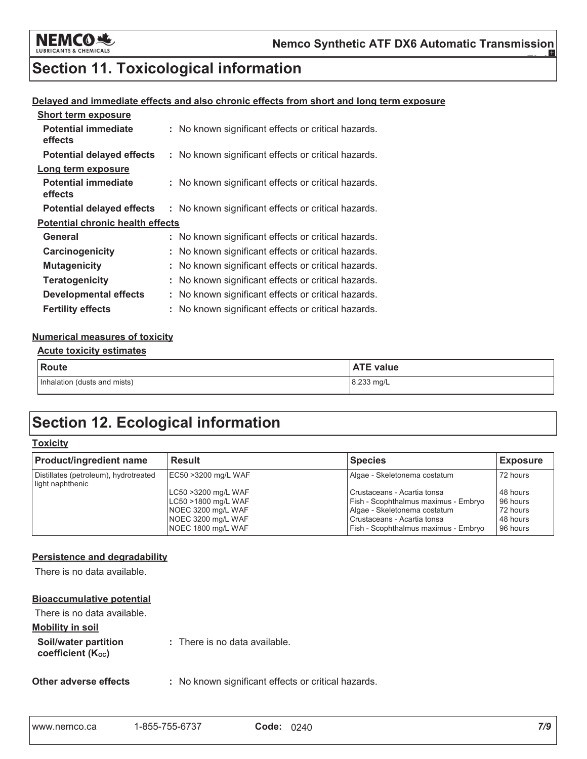

# **Section 11. Toxicological information**

### Delayed and immediate effects and also chronic effects from short and long term exposure

| <b>Short term exposure</b>              |                                                     |
|-----------------------------------------|-----------------------------------------------------|
| <b>Potential immediate</b><br>effects   | : No known significant effects or critical hazards. |
| <b>Potential delayed effects</b>        | : No known significant effects or critical hazards. |
| Long term exposure                      |                                                     |
| <b>Potential immediate</b><br>effects   | : No known significant effects or critical hazards. |
| <b>Potential delayed effects</b>        | : No known significant effects or critical hazards. |
| <b>Potential chronic health effects</b> |                                                     |
| General                                 | : No known significant effects or critical hazards. |
| Carcinogenicity                         | : No known significant effects or critical hazards. |
| <b>Mutagenicity</b>                     | No known significant effects or critical hazards.   |
| <b>Teratogenicity</b>                   | No known significant effects or critical hazards.   |
| <b>Developmental effects</b>            | No known significant effects or critical hazards.   |
| <b>Fertility effects</b>                | : No known significant effects or critical hazards. |

### **Numerical measures of toxicity**

#### **Acute toxicity estimates**

| Route                        | <b>ATE value</b> |
|------------------------------|------------------|
| Inhalation (dusts and mists) | 8.233 mg/L       |

# **Section 12. Ecological information**

### **Toxicity**

| <b>Product/ingredient name</b>                            | <b>Result</b>                                                                                                | <b>Species</b>                                                                                                                                                                        | <b>Exposure</b>                                          |
|-----------------------------------------------------------|--------------------------------------------------------------------------------------------------------------|---------------------------------------------------------------------------------------------------------------------------------------------------------------------------------------|----------------------------------------------------------|
| Distillates (petroleum), hydrotreated<br>light naphthenic | EC50 >3200 mg/L WAF                                                                                          | Algae - Skeletonema costatum                                                                                                                                                          | 72 hours                                                 |
|                                                           | LC50 >3200 mg/L WAF<br>LC50 >1800 mg/L WAF<br>NOEC 3200 mg/L WAF<br>NOEC 3200 mg/L WAF<br>NOEC 1800 mg/L WAF | l Crustaceans - Acartia tonsa<br><b>Fish - Scophthalmus maximus - Embryo</b><br>Algae - Skeletonema costatum<br>l Crustaceans - Acartia tonsa<br>Fish - Scophthalmus maximus - Embryo | 48 hours<br>96 hours<br>72 hours<br>48 hours<br>96 hours |

### **Persistence and degradability**

There is no data available.

### **Bioaccumulative potential**

| There is no data available.                            |                               |
|--------------------------------------------------------|-------------------------------|
| Mobility in soil                                       |                               |
| Soil/water partition<br>coefficient (K <sub>oc</sub> ) | : There is no data available. |

Other adverse effects : No known significant effects or critical hazards.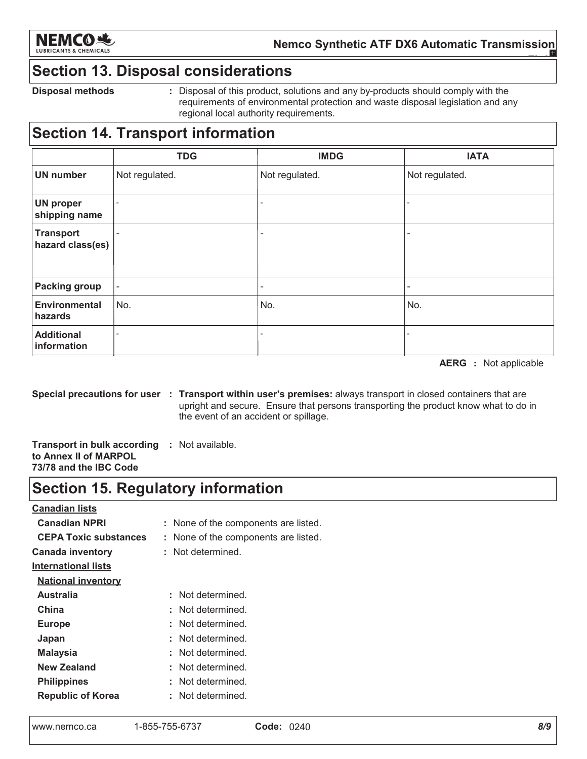

# **Section 13. Disposal considerations**

**Disposal methods** 

: Disposal of this product, solutions and any by-products should comply with the requirements of environmental protection and waste disposal legislation and any regional local authority requirements.

# **Section 14. Transport information**

|                                      | <b>TDG</b>               | <b>IMDG</b>              | <b>IATA</b>              |
|--------------------------------------|--------------------------|--------------------------|--------------------------|
| <b>UN number</b>                     | Not regulated.           | Not regulated.           | Not regulated.           |
| <b>UN proper</b><br>shipping name    | $\overline{\phantom{a}}$ |                          |                          |
| <b>Transport</b><br>hazard class(es) | ۰                        |                          |                          |
| <b>Packing group</b>                 | -                        | $\overline{\phantom{a}}$ | $\overline{\phantom{a}}$ |
| <b>Environmental</b><br>hazards      | No.                      | No.                      | No.                      |
| <b>Additional</b><br>information     |                          |                          |                          |

**AERG** : Not applicable

Special precautions for user : Transport within user's premises: always transport in closed containers that are upright and secure. Ensure that persons transporting the product know what to do in the event of an accident or spillage.

**Transport in bulk according : Not available.** to Annex II of MARPOL 73/78 and the IBC Code

# **Section 15. Regulatory information**

**Canadian lists** 

**Canadian NPRI** : None of the components are listed. **CEPA Toxic substances** : None of the components are listed. **Canada inventory** : Not determined. **International lists National inventory Australia** : Not determined. China : Not determined. : Not determined. **Europe** : Not determined. Japan **Malaysia** : Not determined. : Not determined. **New Zealand** : Not determined. **Philippines** : Not determined. **Republic of Korea**